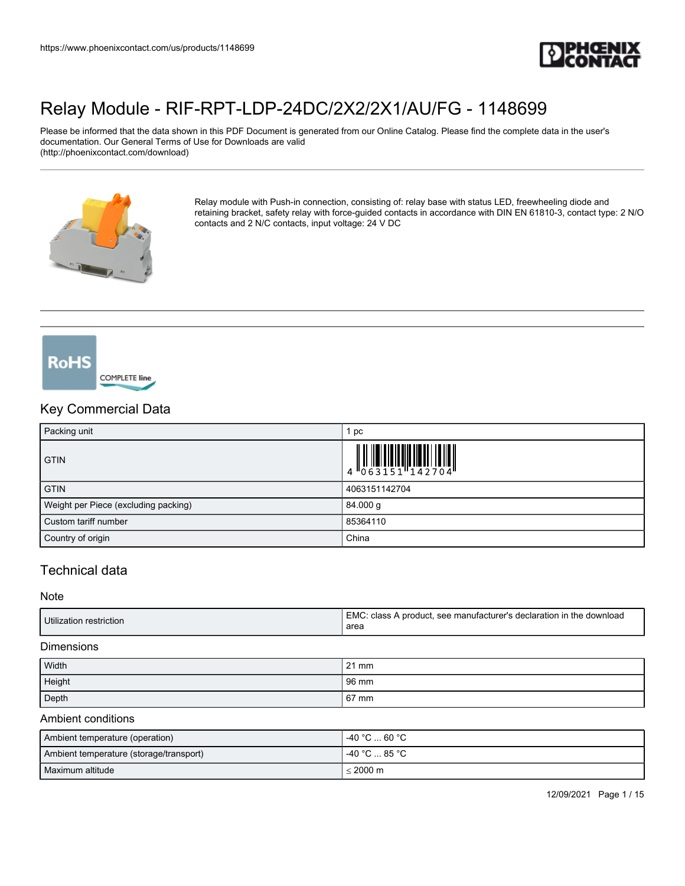

Please be informed that the data shown in this PDF Document is generated from our Online Catalog. Please find the complete data in the user's documentation. Our General Terms of Use for Downloads are valid (http://phoenixcontact.com/download)



Relay module with Push-in connection, consisting of: relay base with status LED, freewheeling diode and retaining bracket, safety relay with force-guided contacts in accordance with DIN EN 61810-3, contact type: 2 N/O contacts and 2 N/C contacts, input voltage: 24 V DC



## Key Commercial Data

| Packing unit                         | рc            |
|--------------------------------------|---------------|
| <b>GTIN</b>                          |               |
| <b>GTIN</b>                          | 4063151142704 |
| Weight per Piece (excluding packing) | 84.000 g      |
| Custom tariff number                 | 85364110      |
| Country of origin                    | China         |

## Technical data

**Note** 

| Utilization restriction | EMC: class A product, see manufacturer's declaration in the download<br>area |
|-------------------------|------------------------------------------------------------------------------|
|                         |                                                                              |

#### **Dimensions**

| Width  | $21 \text{ mm}$ |
|--------|-----------------|
| Height | 96 mm           |
| Depth  | 67 mm           |

#### Ambient conditions

| Ambient temperature (operation)         | l -40 °C  60 °C .  |
|-----------------------------------------|--------------------|
| Ambient temperature (storage/transport) | 1 -40 °C  85 °C    |
| l Maximum altitude                      | $< 2000 \text{ m}$ |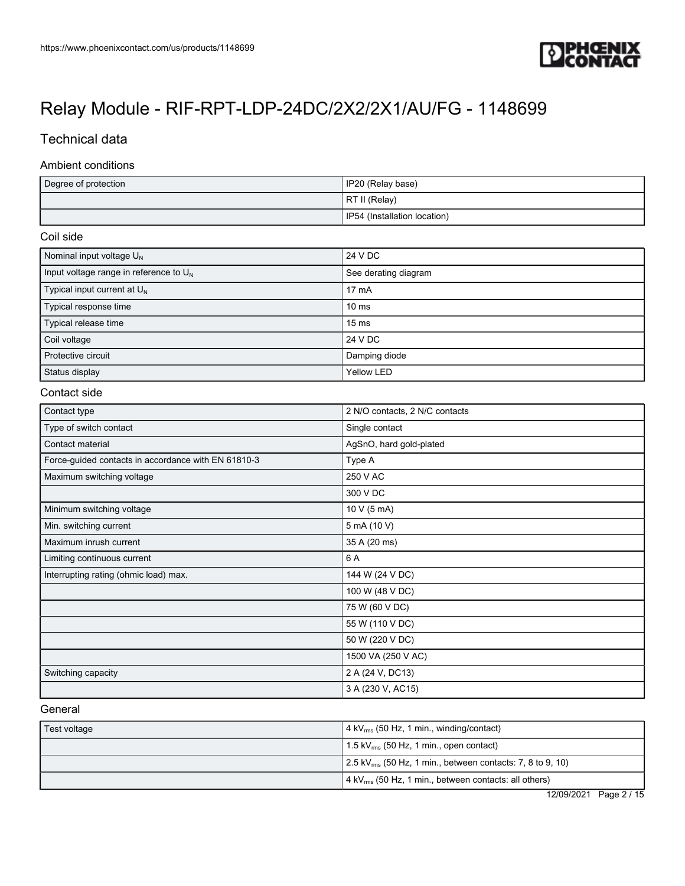

## Technical data

#### Ambient conditions

| Degree of protection | IP20 (Relay base)              |
|----------------------|--------------------------------|
|                      | RT II (Relay)                  |
|                      | I IP54 (Installation location) |

#### Coil side

| Nominal input voltage $U_N$               | 24 V DC              |
|-------------------------------------------|----------------------|
| Input voltage range in reference to $U_N$ | See derating diagram |
| Typical input current at $U_{N}$          | $17 \text{ mA}$      |
| Typical response time                     | $10 \text{ ms}$      |
| Typical release time                      | $15 \text{ ms}$      |
| Coil voltage                              | 24 V DC              |
| Protective circuit                        | Damping diode        |
| Status display                            | Yellow LED           |

#### Contact side

| Contact type                                        | 2 N/O contacts, 2 N/C contacts |
|-----------------------------------------------------|--------------------------------|
| Type of switch contact                              | Single contact                 |
| Contact material                                    | AgSnO, hard gold-plated        |
| Force-guided contacts in accordance with EN 61810-3 | Type A                         |
| Maximum switching voltage                           | 250 V AC                       |
|                                                     | 300 V DC                       |
| Minimum switching voltage                           | 10 V (5 mA)                    |
| Min. switching current                              | 5 mA (10 V)                    |
| Maximum inrush current                              | 35 A (20 ms)                   |
| Limiting continuous current                         | 6 A                            |
| Interrupting rating (ohmic load) max.               | 144 W (24 V DC)                |
|                                                     | 100 W (48 V DC)                |
|                                                     | 75 W (60 V DC)                 |
|                                                     | 55 W (110 V DC)                |
|                                                     | 50 W (220 V DC)                |
|                                                     | 1500 VA (250 V AC)             |
| Switching capacity                                  | 2 A (24 V, DC13)               |
|                                                     | 3 A (230 V, AC15)              |

#### **General**

| Test voltage | $\vert$ 4 kV $_{\rm rms}$ (50 Hz, 1 min., winding/contact)                          |
|--------------|-------------------------------------------------------------------------------------|
|              | 1.5 kV $_{\rm rms}$ (50 Hz, 1 min., open contact)                                   |
|              | $\frac{1}{2}$ .5 kV <sub>rms</sub> (50 Hz, 1 min., between contacts: 7, 8 to 9, 10) |
|              | 4 kV <sub>rms</sub> (50 Hz, 1 min., between contacts: all others)                   |

12/09/2021 Page 2 / 15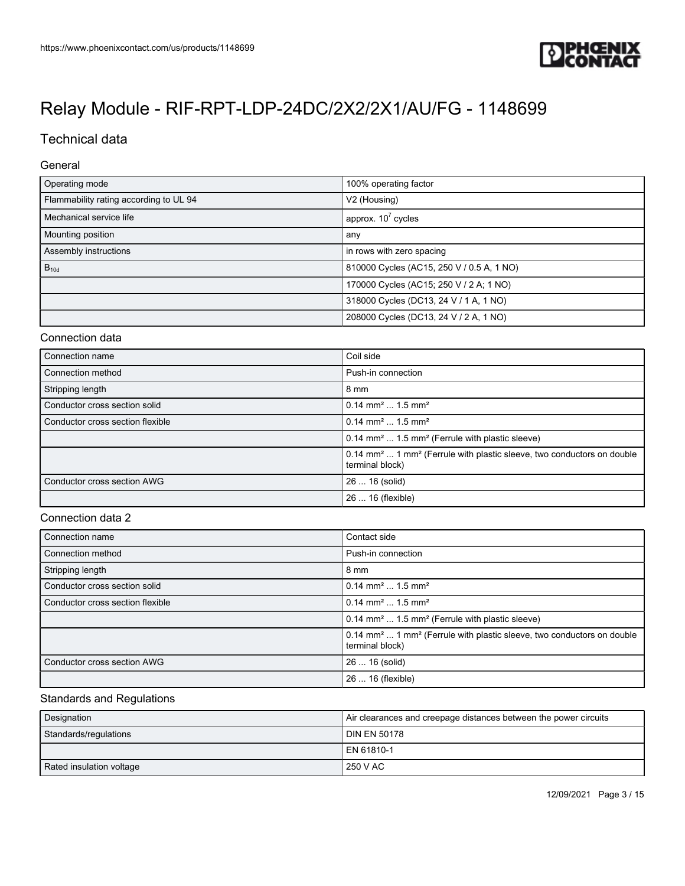

## Technical data

#### General

| Operating mode                         | 100% operating factor                     |
|----------------------------------------|-------------------------------------------|
| Flammability rating according to UL 94 | V <sub>2</sub> (Housing)                  |
| Mechanical service life                | approx. $10^7$ cycles                     |
| Mounting position                      | any                                       |
| Assembly instructions                  | in rows with zero spacing                 |
| $B_{10d}$                              | 810000 Cycles (AC15, 250 V / 0.5 A, 1 NO) |
|                                        | 170000 Cycles (AC15; 250 V / 2 A; 1 NO)   |
|                                        | 318000 Cycles (DC13, 24 V / 1 A, 1 NO)    |
|                                        | 208000 Cycles (DC13, 24 V / 2 A, 1 NO)    |

#### Connection data

| Connection name                  | Coil side                                                                                                        |
|----------------------------------|------------------------------------------------------------------------------------------------------------------|
| Connection method                | Push-in connection                                                                                               |
| Stripping length                 | 8 mm                                                                                                             |
| Conductor cross section solid    | $0.14$ mm <sup>2</sup> 1.5 mm <sup>2</sup>                                                                       |
| Conductor cross section flexible | $0.14$ mm <sup>2</sup> 1.5 mm <sup>2</sup>                                                                       |
|                                  | 0.14 mm <sup>2</sup> 1.5 mm <sup>2</sup> (Ferrule with plastic sleeve)                                           |
|                                  | 0.14 mm <sup>2</sup> 1 mm <sup>2</sup> (Ferrule with plastic sleeve, two conductors on double<br>terminal block) |
| Conductor cross section AWG      | 26  16 (solid)                                                                                                   |
|                                  | 26  16 (flexible)                                                                                                |

#### Connection data 2

| Connection name                  | Contact side                                                                                                     |
|----------------------------------|------------------------------------------------------------------------------------------------------------------|
| Connection method                | Push-in connection                                                                                               |
| Stripping length                 | 8 mm                                                                                                             |
| Conductor cross section solid    | $0.14$ mm <sup>2</sup> 1.5 mm <sup>2</sup>                                                                       |
| Conductor cross section flexible | $0.14$ mm <sup>2</sup> 1.5 mm <sup>2</sup>                                                                       |
|                                  | 0.14 mm <sup>2</sup> 1.5 mm <sup>2</sup> (Ferrule with plastic sleeve)                                           |
|                                  | 0.14 mm <sup>2</sup> 1 mm <sup>2</sup> (Ferrule with plastic sleeve, two conductors on double<br>terminal block) |
| Conductor cross section AWG      | 26  16 (solid)                                                                                                   |
|                                  | 26  16 (flexible)                                                                                                |

#### Standards and Regulations

| Designation              | Air clearances and creepage distances between the power circuits |
|--------------------------|------------------------------------------------------------------|
| Standards/regulations    | l DIN EN 50178                                                   |
|                          | l EN 61810-1                                                     |
| Rated insulation voltage | 250 V AC                                                         |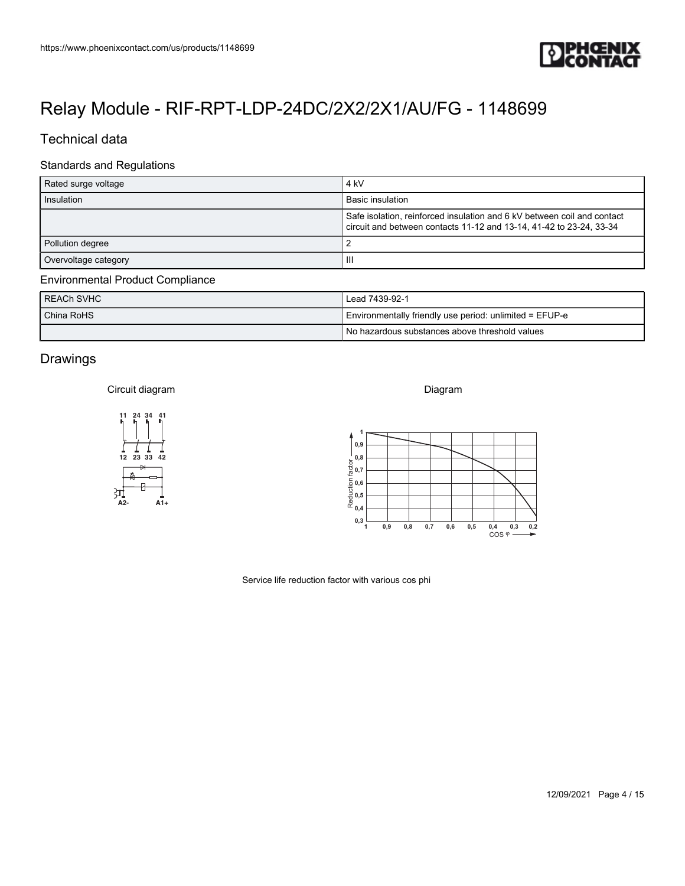

### Technical data

#### Standards and Regulations

| https://www.phoenixcontact.com/us/products/1148699 |                                                                                                                                                                                       |
|----------------------------------------------------|---------------------------------------------------------------------------------------------------------------------------------------------------------------------------------------|
|                                                    | <b>IPHŒNIX<br/>ICONTACT</b>                                                                                                                                                           |
|                                                    |                                                                                                                                                                                       |
|                                                    | Relay Module - RIF-RPT-LDP-24DC/2X2/2X1/AU/FG - 1148699                                                                                                                               |
| Technical data                                     |                                                                                                                                                                                       |
| <b>Standards and Regulations</b>                   |                                                                                                                                                                                       |
| Rated surge voltage                                | $4 \ \mathrm{kV}$                                                                                                                                                                     |
| Insulation                                         | <b>Basic insulation</b><br>Safe isolation, reinforced insulation and 6 kV between coil and contact                                                                                    |
|                                                    | circuit and between contacts 11-12 and 13-14, 41-42 to 23-24, 33-34                                                                                                                   |
| Pollution degree<br>Overvoltage category           | $\overline{2}$<br>$\ensuremath{\mathsf{III}}\xspace$                                                                                                                                  |
| <b>Environmental Product Compliance</b>            |                                                                                                                                                                                       |
| <b>REACh SVHC</b>                                  | Lead 7439-92-1                                                                                                                                                                        |
| China RoHS                                         | Environmentally friendly use period: unlimited = EFUP-e                                                                                                                               |
|                                                    | No hazardous substances above threshold values                                                                                                                                        |
| Drawings                                           |                                                                                                                                                                                       |
| Circuit diagram                                    | Diagram                                                                                                                                                                               |
|                                                    |                                                                                                                                                                                       |
| 11 24 34 41                                        |                                                                                                                                                                                       |
|                                                    | 0,9                                                                                                                                                                                   |
| 12 23 33 42                                        | $\frac{1}{20}$ 0,8<br>$\frac{1}{20}$ 0,7                                                                                                                                              |
|                                                    | $\frac{1}{2}$ 0,6<br>$\frac{1}{2}$ 0,5<br>$\frac{1}{2}$ 0,4                                                                                                                           |
| 31<br>A2-<br>$A1+$                                 |                                                                                                                                                                                       |
|                                                    | $0,3\frac{1}{1}$<br>0,9<br>$\mathbf{0},\mathbf{8}$<br>0,7<br>0,6<br>0,5<br>$\begin{matrix} 0,4 & 0,3 & 0,2 \\ \text{COS} \; \varphi \stackrel{\bullet}{\longrightarrow} \end{matrix}$ |
|                                                    |                                                                                                                                                                                       |
|                                                    | Service life reduction factor with various cos phi                                                                                                                                    |
|                                                    |                                                                                                                                                                                       |
|                                                    |                                                                                                                                                                                       |
|                                                    |                                                                                                                                                                                       |
|                                                    |                                                                                                                                                                                       |
|                                                    |                                                                                                                                                                                       |
|                                                    |                                                                                                                                                                                       |
|                                                    |                                                                                                                                                                                       |

#### Environmental Product Compliance

| REACH SVHC | Lead 7439-92-1                                          |
|------------|---------------------------------------------------------|
| China RoHS | Environmentally friendly use period: unlimited = EFUP-e |
|            | I No hazardous substances above threshold values        |

### Drawings

#### Circuit diagram



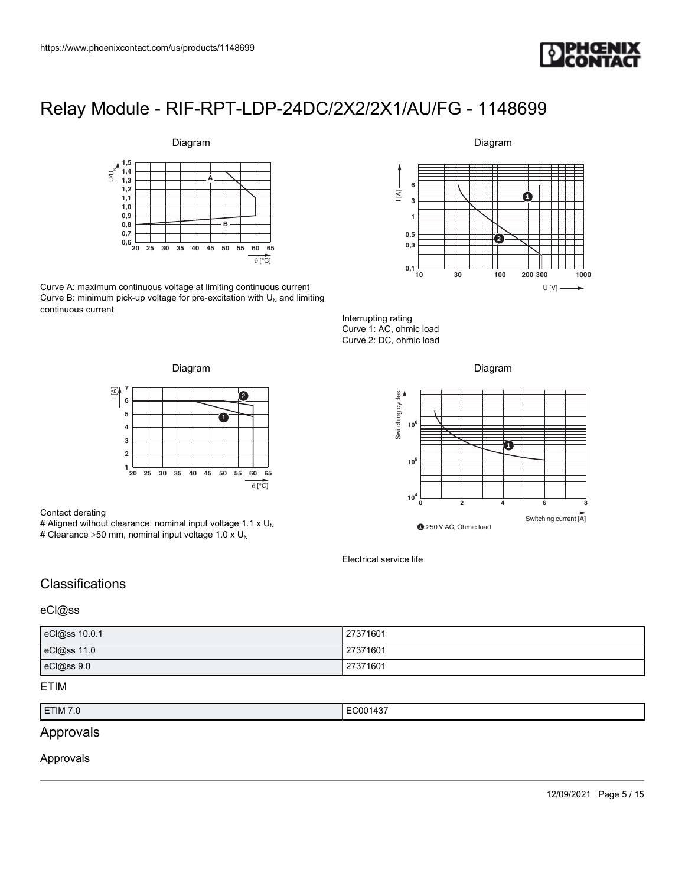



Curve A: maximum continuous voltage at limiting continuous current Curve B: minimum pick-up voltage for pre-excitation with  $U_N$  and limiting continuous current

#### Diagram



Interrupting rating Curve 1: AC, ohmic load Curve 2: DC, ohmic load





#### Contact derating

# Aligned without clearance, nominal input voltage 1.1 x  $U_N$ # Clearance  $\geq$ 50 mm, nominal input voltage 1.0 x U<sub>N</sub>





Electrical service life

## **Classifications**

#### eCl@ss

| eCl@ss 10.0.1 | 27371601 |
|---------------|----------|
| eCl@ss 11.0   | 27371601 |
| eCl@ss 9.0    | 27371601 |

#### ETIM

| ETIM 7.0 | $\cdots$<br>/001437<br>. |
|----------|--------------------------|

## Approvals

#### Approvals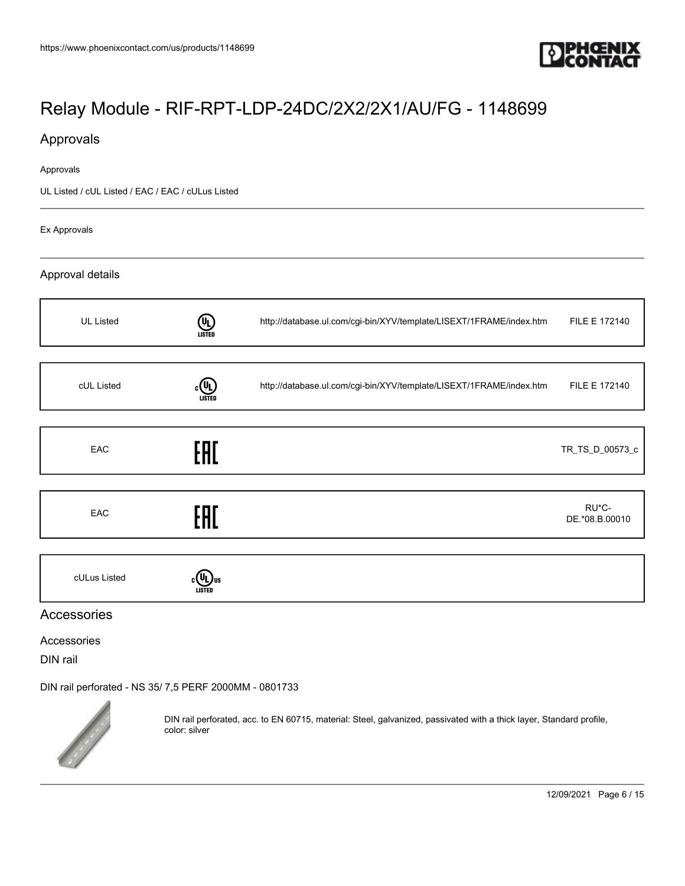

## Approvals

#### Approvals

UL Listed / cUL Listed / EAC / EAC / cULus Listed

Ex Approvals

#### Approval details

| <b>UL Listed</b> | (U)<br>LISTED | http://database.ul.com/cgi-bin/XYV/template/LISEXT/1FRAME/index.htm | FILE E 172140           |
|------------------|---------------|---------------------------------------------------------------------|-------------------------|
|                  |               |                                                                     |                         |
| cUL Listed       | (h)<br>LISTEI | http://database.ul.com/cgi-bin/XYV/template/LISEXT/1FRAME/index.htm | FILE E 172140           |
|                  |               |                                                                     |                         |
| EAC              | EAC           |                                                                     | TR_TS_D_00573_c         |
|                  |               |                                                                     |                         |
| EAC              | EAC           |                                                                     | RU*C-<br>DE.*08.B.00010 |
|                  |               |                                                                     |                         |
| cULus Listed     |               |                                                                     |                         |

#### Accessories

Accessories

DIN rail

[DIN rail perforated - NS 35/ 7,5 PERF 2000MM - 0801733](https://www.phoenixcontact.com/us/products/0801733)



DIN rail perforated, acc. to EN 60715, material: Steel, galvanized, passivated with a thick layer, Standard profile, color: silver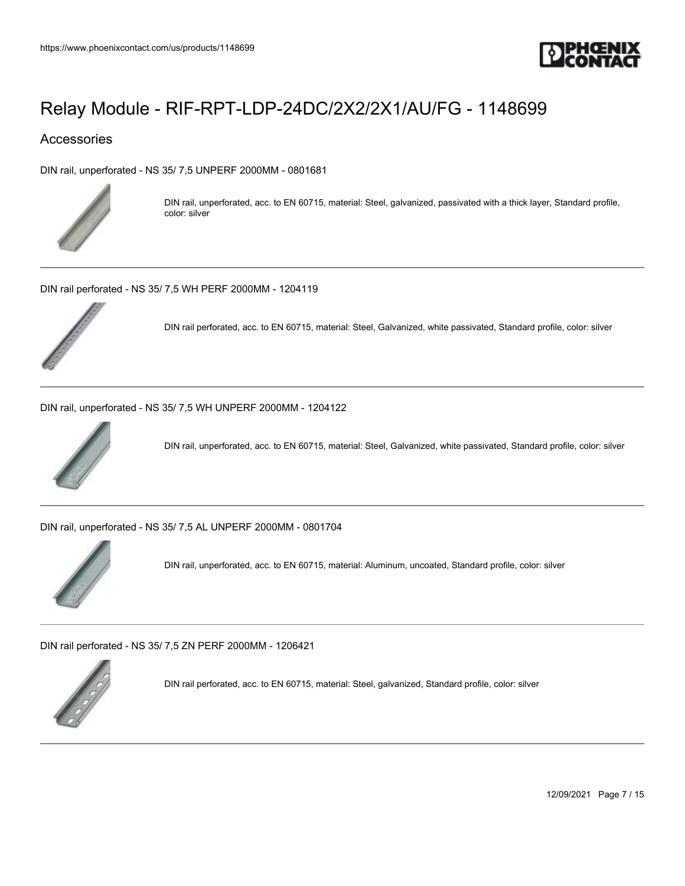

### Accessories

[DIN rail, unperforated - NS 35/ 7,5 UNPERF 2000MM - 0801681](https://www.phoenixcontact.com/us/products/0801681)



DIN rail, unperforated, acc. to EN 60715, material: Steel, galvanized, passivated with a thick layer, Standard profile, color: silver

[DIN rail perforated - NS 35/ 7,5 WH PERF 2000MM - 1204119](https://www.phoenixcontact.com/us/products/1204119)



DIN rail perforated, acc. to EN 60715, material: Steel, Galvanized, white passivated, Standard profile, color: silver

[DIN rail, unperforated - NS 35/ 7,5 WH UNPERF 2000MM - 1204122](https://www.phoenixcontact.com/us/products/1204122)



DIN rail, unperforated, acc. to EN 60715, material: Steel, Galvanized, white passivated, Standard profile, color: silver

[DIN rail, unperforated - NS 35/ 7,5 AL UNPERF 2000MM - 0801704](https://www.phoenixcontact.com/us/products/0801704)



DIN rail, unperforated, acc. to EN 60715, material: Aluminum, uncoated, Standard profile, color: silver

[DIN rail perforated - NS 35/ 7,5 ZN PERF 2000MM - 1206421](https://www.phoenixcontact.com/us/products/1206421)



DIN rail perforated, acc. to EN 60715, material: Steel, galvanized, Standard profile, color: silver

12/09/2021 Page 7 / 15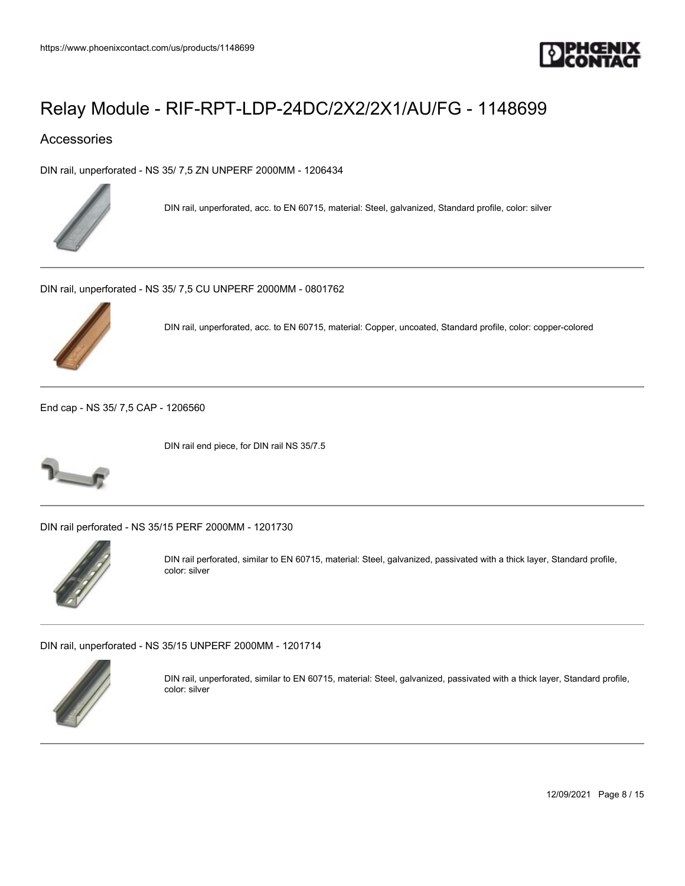

### Accessories

[DIN rail, unperforated - NS 35/ 7,5 ZN UNPERF 2000MM - 1206434](https://www.phoenixcontact.com/us/products/1206434)



DIN rail, unperforated, acc. to EN 60715, material: Steel, galvanized, Standard profile, color: silver

[DIN rail, unperforated - NS 35/ 7,5 CU UNPERF 2000MM - 0801762](https://www.phoenixcontact.com/us/products/0801762)



DIN rail, unperforated, acc. to EN 60715, material: Copper, uncoated, Standard profile, color: copper-colored

[End cap - NS 35/ 7,5 CAP - 1206560](https://www.phoenixcontact.com/us/products/1206560)



DIN rail end piece, for DIN rail NS 35/7.5

[DIN rail perforated - NS 35/15 PERF 2000MM - 1201730](https://www.phoenixcontact.com/us/products/1201730)



DIN rail perforated, similar to EN 60715, material: Steel, galvanized, passivated with a thick layer, Standard profile, color: silver

[DIN rail, unperforated - NS 35/15 UNPERF 2000MM - 1201714](https://www.phoenixcontact.com/us/products/1201714)



DIN rail, unperforated, similar to EN 60715, material: Steel, galvanized, passivated with a thick layer, Standard profile, color: silver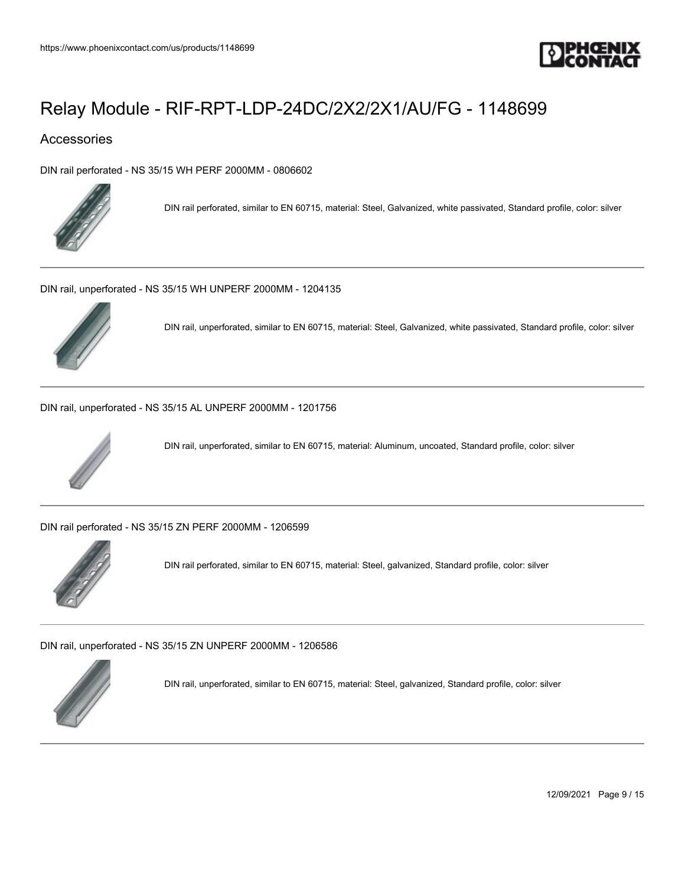

### Accessories

[DIN rail perforated - NS 35/15 WH PERF 2000MM - 0806602](https://www.phoenixcontact.com/us/products/0806602)



DIN rail perforated, similar to EN 60715, material: Steel, Galvanized, white passivated, Standard profile, color: silver

[DIN rail, unperforated - NS 35/15 WH UNPERF 2000MM - 1204135](https://www.phoenixcontact.com/us/products/1204135)



DIN rail, unperforated, similar to EN 60715, material: Steel, Galvanized, white passivated, Standard profile, color: silver

[DIN rail, unperforated - NS 35/15 AL UNPERF 2000MM - 1201756](https://www.phoenixcontact.com/us/products/1201756)



DIN rail, unperforated, similar to EN 60715, material: Aluminum, uncoated, Standard profile, color: silver

[DIN rail perforated - NS 35/15 ZN PERF 2000MM - 1206599](https://www.phoenixcontact.com/us/products/1206599)



DIN rail perforated, similar to EN 60715, material: Steel, galvanized, Standard profile, color: silver

[DIN rail, unperforated - NS 35/15 ZN UNPERF 2000MM - 1206586](https://www.phoenixcontact.com/us/products/1206586)



DIN rail, unperforated, similar to EN 60715, material: Steel, galvanized, Standard profile, color: silver

12/09/2021 Page 9 / 15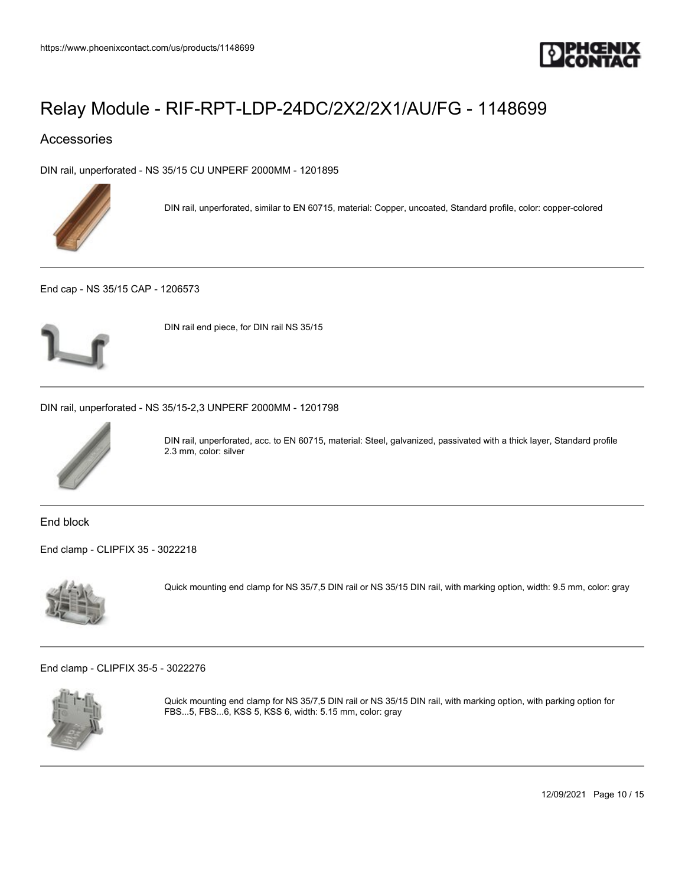

### Accessories

[DIN rail, unperforated - NS 35/15 CU UNPERF 2000MM - 1201895](https://www.phoenixcontact.com/us/products/1201895)



DIN rail, unperforated, similar to EN 60715, material: Copper, uncoated, Standard profile, color: copper-colored

[End cap - NS 35/15 CAP - 1206573](https://www.phoenixcontact.com/us/products/1206573)



DIN rail end piece, for DIN rail NS 35/15

[DIN rail, unperforated - NS 35/15-2,3 UNPERF 2000MM - 1201798](https://www.phoenixcontact.com/us/products/1201798)



DIN rail, unperforated, acc. to EN 60715, material: Steel, galvanized, passivated with a thick layer, Standard profile 2.3 mm, color: silver

End block

[End clamp - CLIPFIX 35 - 3022218](https://www.phoenixcontact.com/us/products/3022218)



Quick mounting end clamp for NS 35/7,5 DIN rail or NS 35/15 DIN rail, with marking option, width: 9.5 mm, color: gray

[End clamp - CLIPFIX 35-5 - 3022276](https://www.phoenixcontact.com/us/products/3022276)



Quick mounting end clamp for NS 35/7,5 DIN rail or NS 35/15 DIN rail, with marking option, with parking option for FBS...5, FBS...6, KSS 5, KSS 6, width: 5.15 mm, color: gray

12/09/2021 Page 10 / 15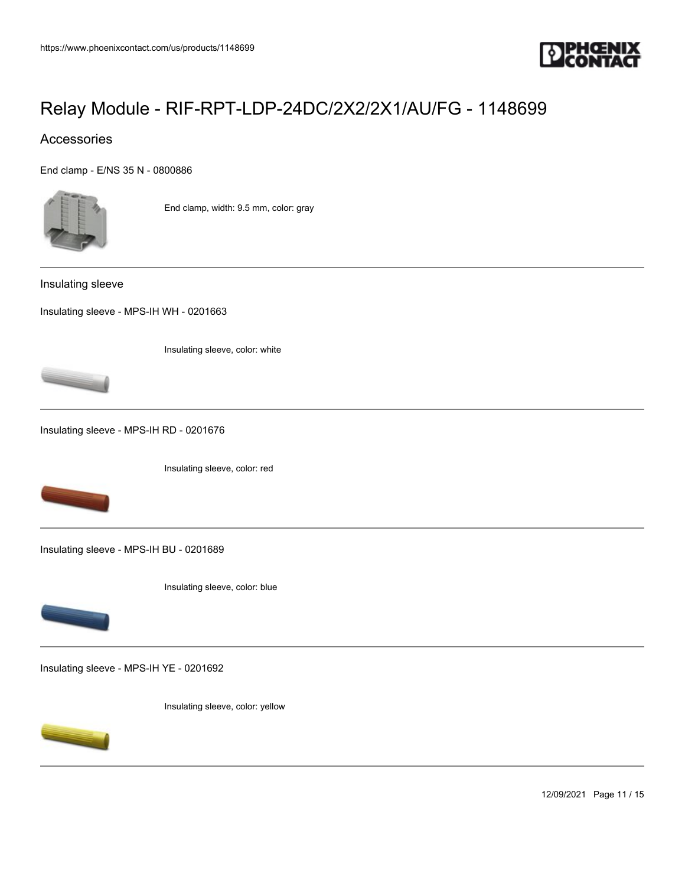

### Accessories

[End clamp - E/NS 35 N - 0800886](https://www.phoenixcontact.com/us/products/0800886)



End clamp, width: 9.5 mm, color: gray

Insulating sleeve

[Insulating sleeve - MPS-IH WH - 0201663](https://www.phoenixcontact.com/us/products/0201663)

Insulating sleeve, color: white



[Insulating sleeve - MPS-IH RD - 0201676](https://www.phoenixcontact.com/us/products/0201676)

Insulating sleeve, color: red



[Insulating sleeve - MPS-IH BU - 0201689](https://www.phoenixcontact.com/us/products/0201689)





[Insulating sleeve - MPS-IH YE - 0201692](https://www.phoenixcontact.com/us/products/0201692)

Insulating sleeve, color: yellow



12/09/2021 Page 11 / 15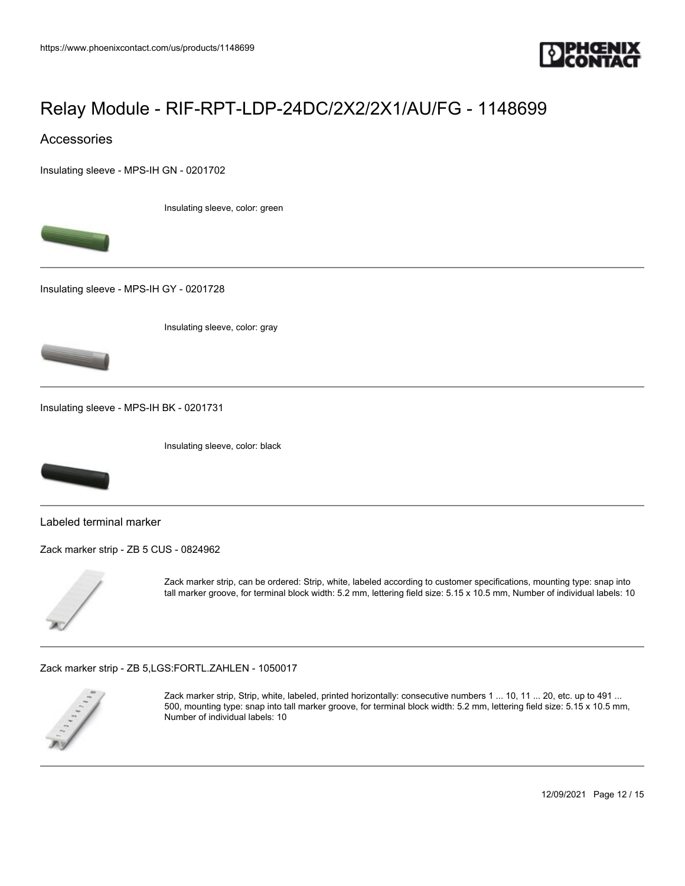

### Accessories

[Insulating sleeve - MPS-IH GN - 0201702](https://www.phoenixcontact.com/us/products/0201702)

Insulating sleeve, color: green



[Insulating sleeve - MPS-IH GY - 0201728](https://www.phoenixcontact.com/us/products/0201728)

Insulating sleeve, color: gray



[Insulating sleeve - MPS-IH BK - 0201731](https://www.phoenixcontact.com/us/products/0201731)

Insulating sleeve, color: black



Labeled terminal marker

[Zack marker strip - ZB 5 CUS - 0824962](https://www.phoenixcontact.com/us/products/0824962)



Zack marker strip, can be ordered: Strip, white, labeled according to customer specifications, mounting type: snap into tall marker groove, for terminal block width: 5.2 mm, lettering field size: 5.15 x 10.5 mm, Number of individual labels: 10

[Zack marker strip - ZB 5,LGS:FORTL.ZAHLEN - 1050017](https://www.phoenixcontact.com/us/products/1050017)



Zack marker strip, Strip, white, labeled, printed horizontally: consecutive numbers 1 ... 10, 11 ... 20, etc. up to 491 ... 500, mounting type: snap into tall marker groove, for terminal block width: 5.2 mm, lettering field size: 5.15 x 10.5 mm, Number of individual labels: 10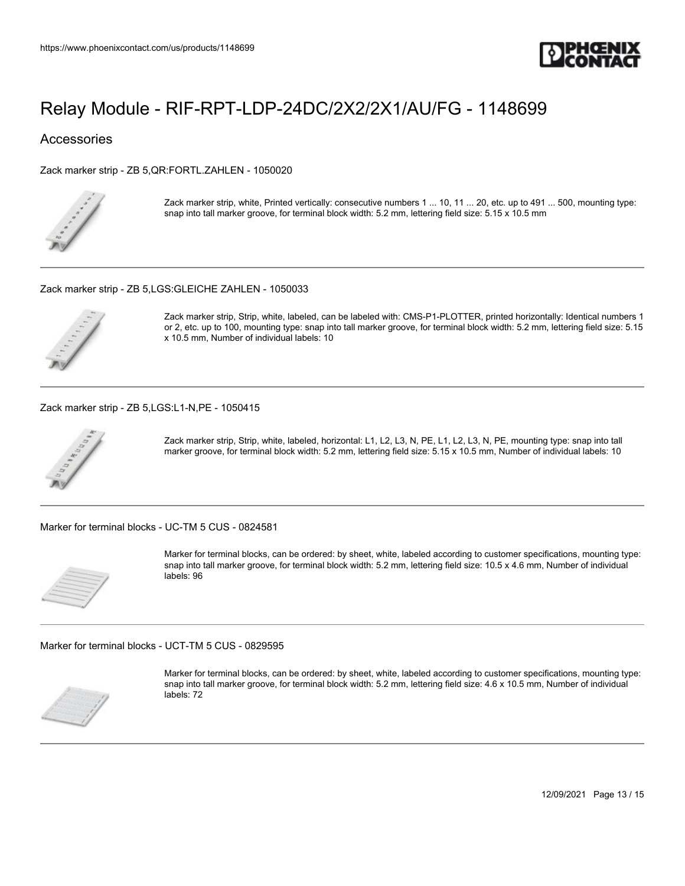

### **Accessories**

[Zack marker strip - ZB 5,QR:FORTL.ZAHLEN - 1050020](https://www.phoenixcontact.com/us/products/1050020)



Zack marker strip, white, Printed vertically: consecutive numbers 1 ... 10, 11 ... 20, etc. up to 491 ... 500, mounting type: snap into tall marker groove, for terminal block width: 5.2 mm, lettering field size: 5.15 x 10.5 mm

[Zack marker strip - ZB 5,LGS:GLEICHE ZAHLEN - 1050033](https://www.phoenixcontact.com/us/products/1050033)



Zack marker strip, Strip, white, labeled, can be labeled with: CMS-P1-PLOTTER, printed horizontally: Identical numbers 1 or 2, etc. up to 100, mounting type: snap into tall marker groove, for terminal block width: 5.2 mm, lettering field size: 5.15 x 10.5 mm, Number of individual labels: 10

[Zack marker strip - ZB 5,LGS:L1-N,PE - 1050415](https://www.phoenixcontact.com/us/products/1050415)



Zack marker strip, Strip, white, labeled, horizontal: L1, L2, L3, N, PE, L1, L2, L3, N, PE, mounting type: snap into tall marker groove, for terminal block width: 5.2 mm, lettering field size: 5.15 x 10.5 mm, Number of individual labels: 10

[Marker for terminal blocks - UC-TM 5 CUS - 0824581](https://www.phoenixcontact.com/us/products/0824581)



Marker for terminal blocks, can be ordered: by sheet, white, labeled according to customer specifications, mounting type: snap into tall marker groove, for terminal block width: 5.2 mm, lettering field size: 10.5 x 4.6 mm, Number of individual labels: 96

[Marker for terminal blocks - UCT-TM 5 CUS - 0829595](https://www.phoenixcontact.com/us/products/0829595)



Marker for terminal blocks, can be ordered: by sheet, white, labeled according to customer specifications, mounting type: snap into tall marker groove, for terminal block width: 5.2 mm, lettering field size: 4.6 x 10.5 mm, Number of individual labels: 72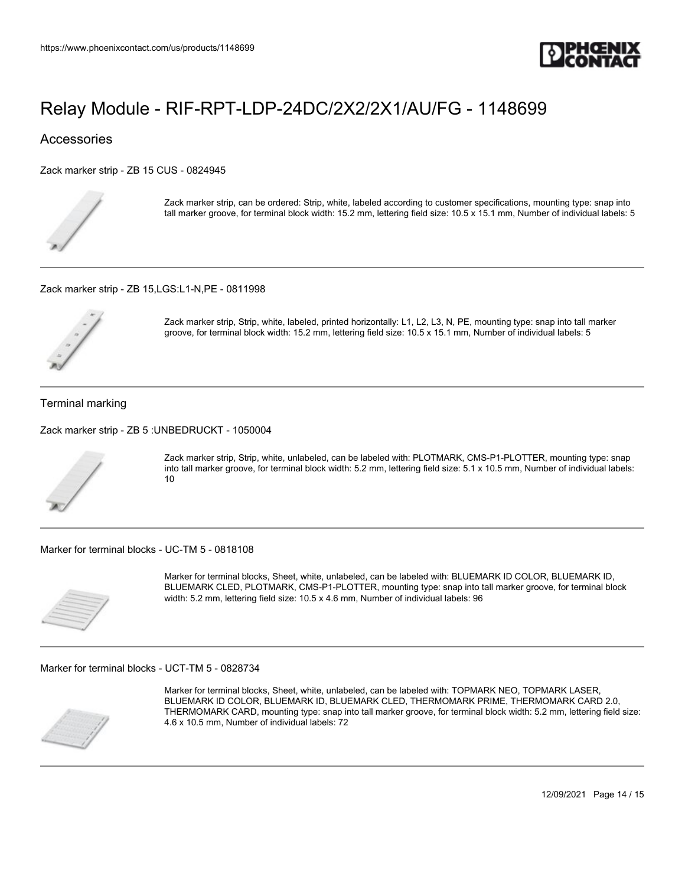

### **Accessories**

[Zack marker strip - ZB 15 CUS - 0824945](https://www.phoenixcontact.com/us/products/0824945)



Zack marker strip, can be ordered: Strip, white, labeled according to customer specifications, mounting type: snap into tall marker groove, for terminal block width: 15.2 mm, lettering field size: 10.5 x 15.1 mm, Number of individual labels: 5

[Zack marker strip - ZB 15,LGS:L1-N,PE - 0811998](https://www.phoenixcontact.com/us/products/0811998)



Zack marker strip, Strip, white, labeled, printed horizontally: L1, L2, L3, N, PE, mounting type: snap into tall marker groove, for terminal block width: 15.2 mm, lettering field size: 10.5 x 15.1 mm, Number of individual labels: 5

#### Terminal marking

[Zack marker strip - ZB 5 :UNBEDRUCKT - 1050004](https://www.phoenixcontact.com/us/products/1050004)



Zack marker strip, Strip, white, unlabeled, can be labeled with: PLOTMARK, CMS-P1-PLOTTER, mounting type: snap into tall marker groove, for terminal block width: 5.2 mm, lettering field size: 5.1 x 10.5 mm, Number of individual labels: 10

[Marker for terminal blocks - UC-TM 5 - 0818108](https://www.phoenixcontact.com/us/products/0818108)



Marker for terminal blocks, Sheet, white, unlabeled, can be labeled with: BLUEMARK ID COLOR, BLUEMARK ID, BLUEMARK CLED, PLOTMARK, CMS-P1-PLOTTER, mounting type: snap into tall marker groove, for terminal block width: 5.2 mm, lettering field size: 10.5 x 4.6 mm, Number of individual labels: 96

[Marker for terminal blocks - UCT-TM 5 - 0828734](https://www.phoenixcontact.com/us/products/0828734)



Marker for terminal blocks, Sheet, white, unlabeled, can be labeled with: TOPMARK NEO, TOPMARK LASER, BLUEMARK ID COLOR, BLUEMARK ID, BLUEMARK CLED, THERMOMARK PRIME, THERMOMARK CARD 2.0, THERMOMARK CARD, mounting type: snap into tall marker groove, for terminal block width: 5.2 mm, lettering field size: 4.6 x 10.5 mm, Number of individual labels: 72